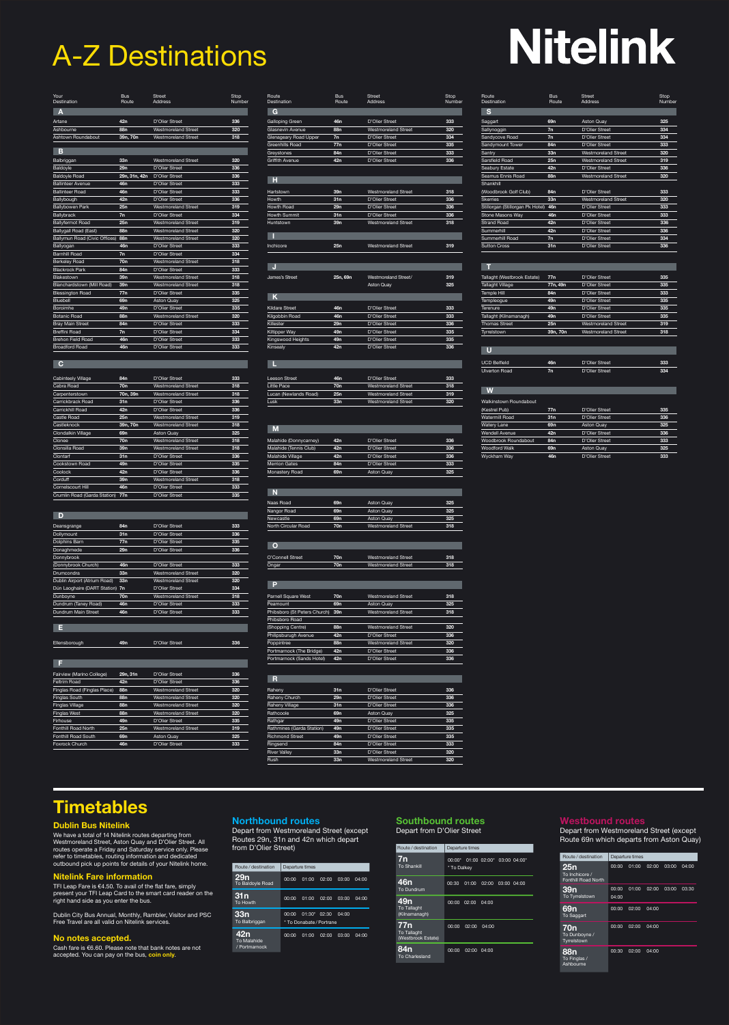| <b>Cabinteely Village</b>    | 84n             | D'Olier Street             | 333 |
|------------------------------|-----------------|----------------------------|-----|
| Cabra Road                   | 70n             | Westmoreland Street        | 318 |
| Carpenterstown               | 70n, 39n        | <b>Westmoreland Street</b> | 318 |
| Carrickbrack Road            | 31n             | D'Olier Street             | 336 |
| Carrickhill Road             | 42n             | D'Olier Street             | 336 |
| Castle Road                  | 25n             | Westmoreland Street        | 319 |
| Castleknock                  | 39n, 70n        | Westmoreland Street        | 318 |
| Clondalkin Village           | 69 <sub>n</sub> | <b>Aston Quay</b>          | 325 |
| Clonee                       | 70n             | <b>Westmoreland Street</b> | 318 |
| Clonsilla Road               | 39n             | Westmoreland Street        | 318 |
| Clontarf                     | 31n             | D'Olier Street             | 336 |
| Cookstown Road               | 49n             | D'Olier Street             | 335 |
| Coolock                      | 42n             | D'Olier Street             | 336 |
| Corduff                      | 39n             | Westmoreland Street        | 318 |
| Cornelscourt Hill            | 46 <sub>n</sub> | D'Olier Street             | 333 |
| Crumlin Road (Garda Station) | 77n             | D'Olier Street             | 335 |
|                              |                 |                            |     |

| Route<br>Destination             | <b>Bus</b><br>Route | <b>Street</b><br>Address   | Stop<br>Number |
|----------------------------------|---------------------|----------------------------|----------------|
| S                                |                     |                            |                |
| Saggart                          | 69 <sub>n</sub>     | <b>Aston Quay</b>          | 325            |
| Sallynoggin                      | 7n                  | D'Olier Street             | 334            |
| Sandycove Road                   | 7n                  | D'Olier Street             | 334            |
| Sandymount Tower                 | 84 <sub>n</sub>     | D'Olier Street             | 333            |
| Santry                           | 33n                 | Westmoreland Street        | 320            |
| Sarsfield Road                   | 25n                 | Westmoreland Street        | 319            |
| <b>Seabury Estate</b>            | 42 <sub>n</sub>     | D'Olier Street             | 336            |
| Seamus Ennis Road                | 88 <sub>n</sub>     | <b>Westmoreland Street</b> | 320            |
| Shankhill                        |                     |                            |                |
| (Woodbrook Golf Club)            | 84 <sub>n</sub>     | D'Olier Street             | 333            |
| <b>Skerries</b>                  | 33n                 | Westmoreland Street        | 320            |
| Stillorgan (Stillorgan Pk Hotel) | 46 <sub>n</sub>     | D'Olier Street             | 333            |
| <b>Stone Masons Way</b>          | 46 <sub>n</sub>     | D'Olier Street             | 333            |
| <b>Strand Road</b>               | 42 <sub>n</sub>     | D'Olier Street             | 336            |
| Summerhill                       | 42 <sub>n</sub>     | D'Olier Street             | 336            |
| Summerhill Road                  | 7n                  | D'Olier Street             | 334            |
| <b>Sutton Cross</b>              | 31n                 | D'Olier Street             | 336            |

Cash fare is €6.60. Please note that bank notes are not accepted. You can pay on the bus, coin only.

| Leeson Street         | 46n | D'Olier Street             | 333 |
|-----------------------|-----|----------------------------|-----|
| Little Pace           | 70n | Westmoreland Street        | 318 |
| Lucan (Newlands Road) | 25n | <b>Westmoreland Street</b> | 319 |
| Lusk                  | 33n | Westmoreland Street        | 320 |

#### Southbound routes Depart from D'Olier Street

| Your                          | <b>Bus</b>      | <b>Street</b>              | Stop   |
|-------------------------------|-----------------|----------------------------|--------|
| <b>Destination</b>            | Route           | <b>Address</b>             | Number |
| A                             |                 |                            |        |
| Artane                        | 42n             | D'Olier Street             | 336    |
| Ashbourne                     | 88 <sub>n</sub> | <b>Westmoreland Street</b> | 320    |
| <b>Ashtown Roundabout</b>     | 39n, 70n        | <b>Westmoreland Street</b> | 318    |
|                               |                 |                            |        |
| B                             |                 |                            |        |
| Balbriggan                    | 33n             | <b>Westmoreland Street</b> | 320    |
| <b>Baldoyle</b>               | 29n             | D'Olier Street             | 336    |
| <b>Baldoyle Road</b>          | 29n, 31n, 42n   | D'Olier Street             | 336    |
| <b>Ballinteer Avenue</b>      | 46 <sub>n</sub> | D'Olier Street             | 333    |
| <b>Ballinteer Road</b>        | 46 <sub>n</sub> | D'Olier Street             | 333    |
| Ballybough                    | 42 <sub>n</sub> | D'Olier Street             | 336    |
| <b>Ballybowen Park</b>        | 25n             | <b>Westmoreland Street</b> | 319    |
| <b>Ballybrack</b>             | 7n              | D'Olier Street             | 334    |
| <b>Ballyfermot Road</b>       | 25n             | <b>Westmoreland Street</b> | 319    |
| Ballygall Road (East)         | 88 <sub>n</sub> | <b>Westmoreland Street</b> | 320    |
| Ballymun Road (Civic Offices) | 88 <sub>n</sub> | <b>Westmoreland Street</b> | 320    |
| Ballyogan                     | 46 <sub>n</sub> | D'Olier Street             | 333    |
| <b>Barnhill Road</b>          | 7n              | D'Olier Street             | 334    |
| <b>Berkeley Road</b>          | 70 <sub>n</sub> | <b>Westmoreland Street</b> | 318    |
| <b>Blackrock Park</b>         | 84 <sub>n</sub> | D'Olier Street             | 333    |
| <b>Blakestown</b>             | 39n             | <b>Westmoreland Street</b> | 318    |
| Blanchardstown (Mill Road)    | 39n             | <b>Westmoreland Street</b> | 318    |
| <b>Blessington Road</b>       | 77n             | D'Olier Street             | 335    |
| <b>Bluebell</b>               | 69 <sub>n</sub> | <b>Aston Quay</b>          | 325    |
| <b>Boroimhe</b>               | 49 <sub>n</sub> | D'Olier Street             | 335    |
| <b>Botanic Road</b>           | 88n             | <b>Westmoreland Street</b> | 320    |
| <b>Bray Main Street</b>       | 84 <sub>n</sub> | D'Olier Street             | 333    |
| <b>Breffini Road</b>          | 7n              | D'Olier Street             | 334    |
| <b>Brehon Field Road</b>      | 46 <sub>n</sub> | D'Olier Street             | 333    |
| <b>Broadford Road</b>         | 46 <sub>n</sub> | D'Olier Street             | 333    |

#### $\overline{\phantom{a}}$

| stination        | <b>Bus</b><br>Route | <b>Street</b><br><b>Address</b> | Stop<br><b>Number</b> | Route<br><b>Destination</b>  | <b>Bus</b><br>Route | <b>Street</b><br>Address | Stop<br>Number | Rout<br>Dest |
|------------------|---------------------|---------------------------------|-----------------------|------------------------------|---------------------|--------------------------|----------------|--------------|
|                  |                     |                                 |                       | G                            |                     |                          |                | S            |
| tane             | 42n                 | D'Olier Street                  | 336                   | Galloping Green              | 46n                 | D'Olier Street           | 333            | Sag          |
| hbourne          | 88 <sub>n</sub>     | <b>Westmoreland Street</b>      | 320                   | Glasnevin Avenue             | 88 <sub>n</sub>     | Westmoreland Street      | 320            | Sally        |
| htown Roundabout | 39n, 70n            | Westmoreland Street             | 318                   | <b>Glenageary Road Upper</b> | 7n                  | D'Olier Street           | 334            | Sano         |
|                  |                     |                                 |                       | <b>Greenhills Road</b>       | 77n                 | D'Olier Street           | 335            | Sand         |
|                  |                     |                                 |                       | Greystones                   | 84 <sub>n</sub>     | D'Olier Street           | 333            | Sant         |
| Ibriggan         | 33n                 | <b>Westmoreland Street</b>      | 320                   | Griffith Avenue              | 42 <sub>n</sub>     | D'Olier Street           | 336            | Sars         |
|                  |                     |                                 |                       |                              |                     |                          |                |              |

| D                               |                 |                            |     |
|---------------------------------|-----------------|----------------------------|-----|
| Deansgrange                     | 84 <sub>n</sub> | D'Olier Street             | 333 |
| Dollymount                      | 31n             | D'Olier Street             | 336 |
| Dolphins Barn                   | 77n             | D'Olier Street             | 335 |
| Donaghmede                      | 29n             | D'Olier Street             | 336 |
| Donnybrook                      |                 |                            |     |
| (Donnybrook Church)             | 46 <sub>n</sub> | D'Olier Street             | 333 |
| Drumcondra                      | 33n             | <b>Westmoreland Street</b> | 320 |
| Dublin Airport (Atrium Road)    | 33n             | <b>Westmoreland Street</b> | 320 |
| Dún Laoghaire (DART Station) 7n |                 | D'Olier Street             | 334 |
| Dunboyne                        | 70n             | <b>Westmoreland Street</b> | 318 |
| Dundrum (Taney Road)            | 46 <sub>n</sub> | D'Olier Street             | 333 |
| Dundrum Main Street             | 46 <sub>n</sub> | D'Olier Street             | 333 |
| Ellensborough                   | 49 <sub>n</sub> | D'Olier Street             | 336 |
| F                               |                 |                            |     |
| Fairview (Marino College)       | 29n, 31n        | D'Olier Street             | 336 |
| <b>Feltrim Road</b>             | 42n             | D'Olier Street             | 336 |
| Finglas Road (Finglas Place)    | 88 <sub>n</sub> | <b>Westmoreland Street</b> | 320 |
| <b>Finglas South</b>            | 88 <sub>n</sub> | <b>Westmoreland Street</b> | 320 |
| Finglas Village                 | 88 <sub>n</sub> | <b>Westmoreland Street</b> | 320 |
| <b>Finglas West</b>             | 88 <sub>n</sub> | <b>Westmoreland Street</b> | 320 |
| Firhouse                        | 49 <sub>n</sub> | D'Olier Street             | 335 |
| <b>Fonthill Road North</b>      | 25n             | <b>Westmoreland Street</b> | 319 |
| <b>Fonthill Road South</b>      | 69 <sub>n</sub> | <b>Aston Quay</b>          | 325 |
| <b>Foxrock Church</b>           | 46 <sub>n</sub> | D'Olier Street             | 333 |

| н                   |     |                            |     |
|---------------------|-----|----------------------------|-----|
| <b>Hartstown</b>    | 39n | Westmoreland Street        | 318 |
| <b>Howth</b>        | 31n | D'Olier Street             | 336 |
| <b>Howth Road</b>   | 29n | D'Olier Street             | 336 |
| <b>Howth Summit</b> | 31n | D'Olier Street             | 336 |
| Huntstown           | 39n | <b>Westmoreland Street</b> | 318 |
|                     |     |                            |     |

Inchicore 25n Westmoreland Street 319

| H                        |                 |                      |     |
|--------------------------|-----------------|----------------------|-----|
| James's Street           | 25n, 69n        | Westmoreland Street/ | 319 |
|                          |                 | <b>Aston Quay</b>    | 325 |
| Κ                        |                 |                      |     |
| <b>Kildare Street</b>    | 46 <sub>n</sub> | D'Olier Street       | 333 |
| Kilgobbin Road           | 46 <sub>n</sub> | D'Olier Street       | 333 |
| Killester                | 29n             | D'Olier Street       | 336 |
| <b>Kiltipper Way</b>     | 49n             | D'Olier Street       | 335 |
| <b>Kingswood Heights</b> | 49 <sub>n</sub> | D'Olier Street       | 335 |
| Kinsealy                 | 42n             | D'Olier Street       | 336 |

| M                      |                 |                   |     |
|------------------------|-----------------|-------------------|-----|
| Malahide (Donnycarney) | 42 <sub>n</sub> | D'Olier Street    | 336 |
| Malahide (Tennis Club) | 42 <sub>n</sub> | D'Olier Street    | 336 |
| Malahide Village       | 42 <sub>n</sub> | D'Olier Street    | 336 |
| <b>Merrion Gates</b>   | 84n             | D'Olier Street    | 333 |
| Monastery Road         | 69 n            | <b>Aston Quay</b> | 325 |

| Ν                   |                 |                     |     |
|---------------------|-----------------|---------------------|-----|
| Naas Road           | 69 <sub>n</sub> | <b>Aston Quay</b>   | 325 |
| Nangor Road         | 69 <sub>n</sub> | <b>Aston Quay</b>   | 325 |
| Newcastle           | 69 <sub>n</sub> | <b>Aston Quay</b>   | 325 |
| North Circular Road | 70n             | Westmoreland Street | 318 |
|                     |                 |                     |     |

| <b>e</b><br>$\prod$ | A I i |  |
|---------------------|-------|--|
|                     |       |  |

| O'Connell Street | 70n | Westmoreland Street | 318 |
|------------------|-----|---------------------|-----|
| Ongar            | 70n | Westmoreland Street | 318 |

| 70n                                 | Westmoreland Street | 318 |
|-------------------------------------|---------------------|-----|
| 69n                                 | <b>Aston Quay</b>   | 325 |
| Phibsboro (St Peters Church)<br>39n | Westmoreland Street | 318 |
|                                     |                     |     |
| 88n                                 | Westmoreland Street | 320 |
| 42n                                 | D'Olier Street      | 336 |
| 88 <sub>n</sub>                     | Westmoreland Street | 320 |
| 42n                                 | D'Olier Street      | 336 |
| 42 <sub>n</sub>                     | D'Olier Street      | 336 |
|                                     |                     |     |

# A-Z Destinations

#### Dublin Bus Nitelink

| R                         |                 |                            |     |
|---------------------------|-----------------|----------------------------|-----|
| Raheny                    | 31n             | D'Olier Street             | 336 |
| Raheny Church             | 29n             | D'Olier Street             | 336 |
| Raheny Village            | 31n             | D'Olier Street             | 336 |
| Rathcoole                 | 69 <sub>n</sub> | <b>Aston Quay</b>          | 325 |
| Rathgar                   | 49 <sub>n</sub> | D'Olier Street             | 335 |
| Rathmines (Garda Station) | 49 <sub>n</sub> | D'Olier Street             | 335 |
| <b>Richmond Street</b>    | 49 <sub>n</sub> | D'Olier Street             | 335 |
| Ringsend                  | 84 <sub>n</sub> | D'Olier Street             | 333 |
| <b>River Valley</b>       | 33n             | D'Olier Street             | 320 |
| <b>Rush</b>               | 33n             | <b>Westmoreland Street</b> | 320 |

# **Timetables**

We have a total of 14 Nitelink routes departing from Westmoreland Street, Aston Quay and D'Olier Street. All routes operate a Friday and Saturday service only. Please refer to timetables, routing information and dedicated outbound pick up points for details of your Nitelink home.

### Nitelink Fare information

TFI Leap Fare is €4.50. To avail of the flat fare, simply present your TFI Leap Card to the smart card reader on the right hand side as you enter the bus.

Dublin City Bus Annual, Monthly, Rambler, Visitor and PSC Free Travel are all valid on Nitelink services.

| Tallaght (Westbrook Estate) | 77n             | D'Olier Street      | 335 |
|-----------------------------|-----------------|---------------------|-----|
| <b>Tallaght Village</b>     | 77n, 49n        | D'Olier Street      | 335 |
| <b>Temple Hill</b>          | 84n             | D'Olier Street      | 333 |
| Templeogue                  | 49 <sub>n</sub> | D'Olier Street      | 335 |
| Terenure                    | 49 <sub>n</sub> | D'Olier Street      | 335 |
| Tallaght (Kilnamanagh)      | 49 <sub>n</sub> | D'Olier Street      | 335 |
| <b>Thomas Street</b>        | 25n             | Westmoreland Street | 319 |
| Tyrrelstown                 | 39n, 70n        | Westmoreland Street | 318 |

# No notes accepted.

| <b>UCD Belfield</b>  | 46n | D'Olier Street | 333 |
|----------------------|-----|----------------|-----|
| <b>Ulverton Road</b> | 7n' | D'Olier Street | 334 |

| W                             |                 |                   |     |
|-------------------------------|-----------------|-------------------|-----|
| <b>Walkinstown Roundabout</b> |                 |                   |     |
| (Kestrel Pub)                 | 77n             | D'Olier Street    | 335 |
| <b>Watermill Road</b>         | 31n             | D'Olier Street    | 336 |
| <b>Watery Lane</b>            | 69 <sub>n</sub> | <b>Aston Quay</b> | 325 |
| <b>Wendell Avenue</b>         | 42n             | D'Olier Street    | 336 |
| Woodbrook Roundabout          | 84 <sub>n</sub> | D'Olier Street    | 333 |
| <b>Woodford Walk</b>          | 69 <sub>n</sub> | <b>Aston Quay</b> | 325 |
| Wyckham Way                   | 46 <sub>n</sub> | D'Olier Street    | 333 |

## Northbound routes

Depart from Westmoreland Street (except Routes 29n, 31n and 42n which depart from D'Olier Street)

| Route / destination                             | Departure times |                                      |       |       |       |
|-------------------------------------------------|-----------------|--------------------------------------|-------|-------|-------|
| <b>29n</b><br><b>To Baldoyle Road</b>           | 00:00           | 01:00                                | 02:00 | 03:00 | 04:00 |
| 31 n<br>To Howth                                | 00:00           | 01:00                                | 02:00 | 03:00 | 04:00 |
| <b>33n</b><br>To Balbriggan                     | 00:00           | $01:30*$<br>* To Donabate / Portrane | 02:30 | 04:00 |       |
| 42 <sub>n</sub><br>To Malahide<br>/ Portmarnock | 00:00           | 01:00                                | 02:00 | 03:00 | 04:00 |

| Route / destination                             | Departure times          |       |                  |       |              |
|-------------------------------------------------|--------------------------|-------|------------------|-------|--------------|
| 7n<br><b>To Shankill</b>                        | $00:00^*$<br>* To Dalkey |       | $01:00$ $02:00*$ |       | 03:00 04:00* |
| 46 <sub>n</sub><br><b>To Dundrum</b>            | 00:30                    | 01:00 | 02:00            | 03:00 | 04:00        |
| 49n<br><b>To Tallaght</b><br>(Kilnamanagh)      | 00:00                    | 02:00 | 04:00            |       |              |
| 77n<br><b>To Tallaght</b><br>(Westbrook Estate) | 00:00                    | 02:00 | 04:00            |       |              |
| 84n<br><b>To Charlesland</b>                    | 00:00                    | 02:00 | 04:00            |       |              |

# Westbound routes

Depart from Westmoreland Street (except Route 69n which departs from Aston Quay)

| Route / destination                                 | Departure times |       |       |       |       |
|-----------------------------------------------------|-----------------|-------|-------|-------|-------|
| 25n<br>To Inchicore /<br><b>Fonthill Road North</b> | 00:00           | 01:00 | 02:00 | 03:00 | 04:00 |
| 39n<br>To Tyrrelstown                               | 00:00<br>04:00  | 01:00 | 02:00 | 03:00 | 03:30 |
| 69n<br>To Saggart                                   | 00:00           | 02:00 | 04:00 |       |       |
| 70n<br>To Dunboyne /<br>Tyrrelstown                 | 00:00           | 02:00 | 04:00 |       |       |
| 88n<br>To Finglas /<br>Ashbourne                    | 00:30           | 02:00 | 04:00 |       |       |

#### L